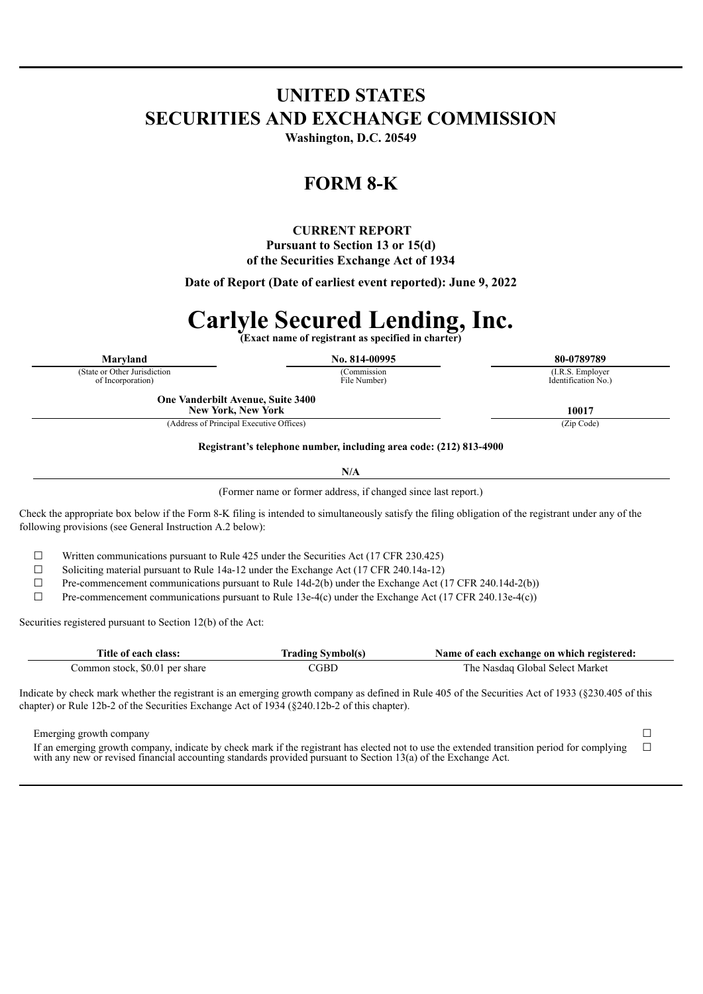# **UNITED STATES SECURITIES AND EXCHANGE COMMISSION**

**Washington, D.C. 20549**

## **FORM 8-K**

## **CURRENT REPORT Pursuant to Section 13 or 15(d) of the Securities Exchange Act of 1934**

**Date of Report (Date of earliest event reported): June 9, 2022**

# **Carlyle Secured Lending, Inc.**

**(Exact name of registrant as specified in charter)**

(State or Other Jurisdiction of Incorporation)

**Maryland No. 814-00995 80-0789789** (Commission File Number)

(I.R.S. Employer Identification No.)

**One Vanderbilt Avenue, Suite 3400 New York, New York 10017**

(Address of Principal Executive Offices) (Zip Code)

**Registrant's telephone number, including area code: (212) 813-4900**

**N/A**

(Former name or former address, if changed since last report.)

Check the appropriate box below if the Form 8-K filing is intended to simultaneously satisfy the filing obligation of the registrant under any of the following provisions (see General Instruction A.2 below):

 $\Box$  Written communications pursuant to Rule 425 under the Securities Act (17 CFR 230.425)

 $\Box$  Soliciting material pursuant to Rule 14a-12 under the Exchange Act (17 CFR 240.14a-12)

 $\Box$  Pre-commencement communications pursuant to Rule 14d-2(b) under the Exchange Act (17 CFR 240.14d-2(b))

 $\Box$  Pre-commencement communications pursuant to Rule 13e-4(c) under the Exchange Act (17 CFR 240.13e-4(c))

Securities registered pursuant to Section 12(b) of the Act:

| Title of each class:           | <b>Trading Symbol(s)</b> | Name of each exchange on which registered: |
|--------------------------------|--------------------------|--------------------------------------------|
| Common stock, \$0.01 per share | 'GBD                     | The Nasdag Global Select Market            |

Indicate by check mark whether the registrant is an emerging growth company as defined in Rule 405 of the Securities Act of 1933 (§230.405 of this chapter) or Rule 12b-2 of the Securities Exchange Act of 1934 (§240.12b-2 of this chapter).

Emerging growth company □ □

If an emerging growth company, indicate by check mark if the registrant has elected not to use the extended transition period for complying with any new or revised financial accounting standards provided pursuant to Section 13(a) of the Exchange Act.

 $\Box$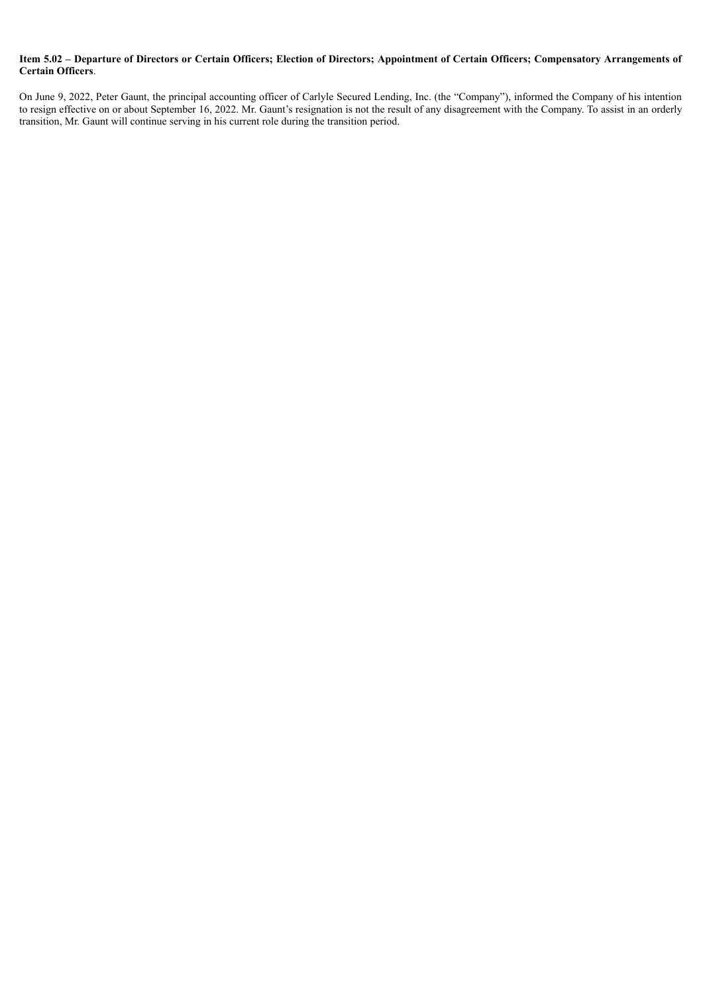#### Item 5.02 - Departure of Directors or Certain Officers; Election of Directors; Appointment of Certain Officers; Compensatory Arrangements of **Certain Officers**.

On June 9, 2022, Peter Gaunt, the principal accounting officer of Carlyle Secured Lending, Inc. (the "Company"), informed the Company of his intention to resign effective on or about September 16, 2022. Mr. Gaunt's resignation is not the result of any disagreement with the Company. To assist in an orderly transition, Mr. Gaunt will continue serving in his current role during the transition period.